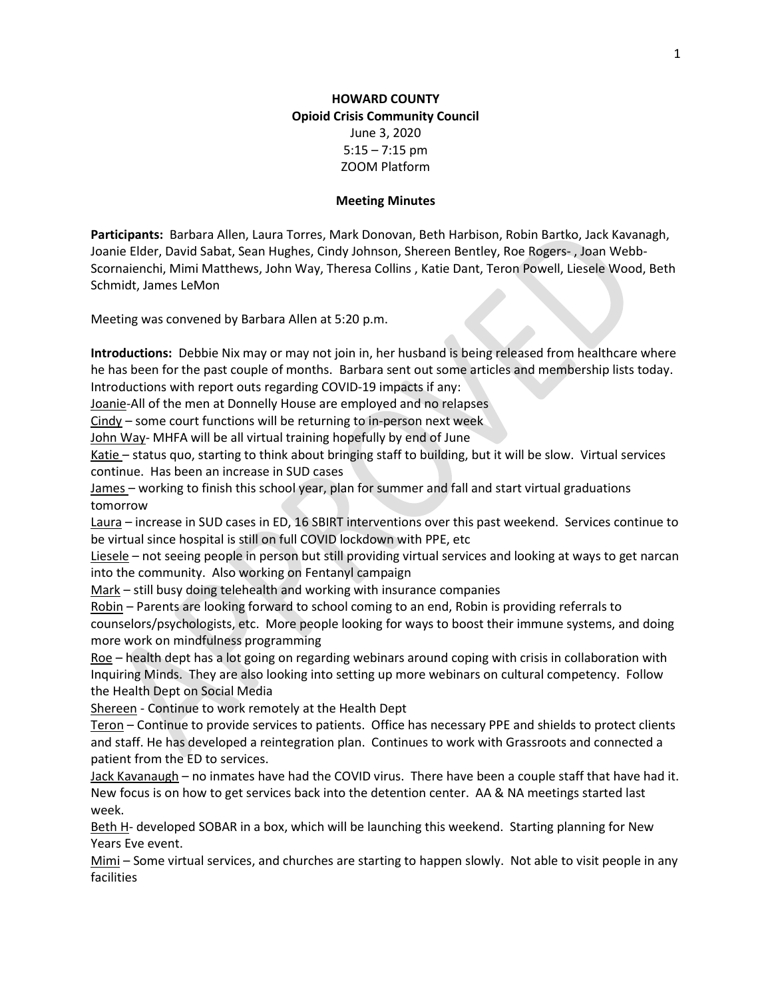#### Meeting Minutes

Participants: Barbara Allen, Laura Torres, Mark Donovan, Beth Harbison, Robin Bartko, Jack Kavanagh, Joanie Elder, David Sabat, Sean Hughes, Cindy Johnson, Shereen Bentley, Roe Rogers- , Joan Webb-Scornaienchi, Mimi Matthews, John Way, Theresa Collins , Katie Dant, Teron Powell, Liesele Wood, Beth Schmidt, James LeMon

Meeting was convened by Barbara Allen at 5:20 p.m.

Introductions: Debbie Nix may or may not join in, her husband is being released from healthcare where he has been for the past couple of months. Barbara sent out some articles and membership lists today. Introductions with report outs regarding COVID-19 impacts if any:

Joanie-All of the men at Donnelly House are employed and no relapses

 $Cindy$  – some court functions will be returning to in-person next week

John Way- MHFA will be all virtual training hopefully by end of June

Katie – status quo, starting to think about bringing staff to building, but it will be slow. Virtual services continue. Has been an increase in SUD cases

James – working to finish this school year, plan for summer and fall and start virtual graduations tomorrow

Laura – increase in SUD cases in ED, 16 SBIRT interventions over this past weekend. Services continue to be virtual since hospital is still on full COVID lockdown with PPE, etc

Liesele – not seeing people in person but still providing virtual services and looking at ways to get narcan into the community. Also working on Fentanyl campaign

Mark – still busy doing telehealth and working with insurance companies

Robin – Parents are looking forward to school coming to an end, Robin is providing referrals to counselors/psychologists, etc. More people looking for ways to boost their immune systems, and doing more work on mindfulness programming

Roe – health dept has a lot going on regarding webinars around coping with crisis in collaboration with Inquiring Minds. They are also looking into setting up more webinars on cultural competency. Follow the Health Dept on Social Media

Shereen - Continue to work remotely at the Health Dept

Teron – Continue to provide services to patients. Office has necessary PPE and shields to protect clients and staff. He has developed a reintegration plan. Continues to work with Grassroots and connected a patient from the ED to services.

Jack Kavanaugh - no inmates have had the COVID virus. There have been a couple staff that have had it. New focus is on how to get services back into the detention center. AA & NA meetings started last week.

Beth H- developed SOBAR in a box, which will be launching this weekend. Starting planning for New Years Eve event.

Mimi – Some virtual services, and churches are starting to happen slowly. Not able to visit people in any facilities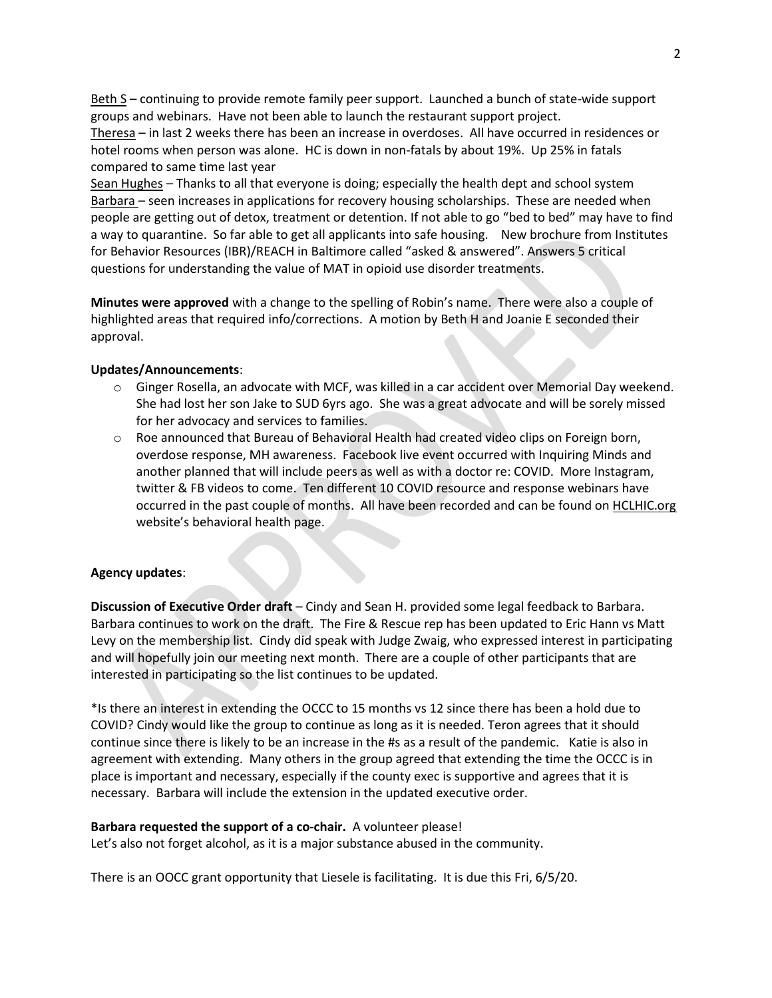Beth S – continuing to provide remote family peer support. Launched a bunch of state-wide support groups and webinars. Have not been able to launch the restaurant support project.

Theresa – in last 2 weeks there has been an increase in overdoses. All have occurred in residences or hotel rooms when person was alone. HC is down in non-fatals by about 19%. Up 25% in fatals compared to same time last year

Sean Hughes – Thanks to all that everyone is doing; especially the health dept and school system Barbara – seen increases in applications for recovery housing scholarships. These are needed when people are getting out of detox, treatment or detention. If not able to go "bed to bed" may have to find a way to quarantine. So far able to get all applicants into safe housing. New brochure from Institutes for Behavior Resources (IBR)/REACH in Baltimore called "asked & answered". Answers 5 critical questions for understanding the value of MAT in opioid use disorder treatments.

Minutes were approved with a change to the spelling of Robin's name. There were also a couple of highlighted areas that required info/corrections. A motion by Beth H and Joanie E seconded their approval.

## Updates/Announcements:

- o Ginger Rosella, an advocate with MCF, was killed in a car accident over Memorial Day weekend. She had lost her son Jake to SUD 6yrs ago. She was a great advocate and will be sorely missed for her advocacy and services to families.
- $\circ$  Roe announced that Bureau of Behavioral Health had created video clips on Foreign born, overdose response, MH awareness. Facebook live event occurred with Inquiring Minds and another planned that will include peers as well as with a doctor re: COVID. More Instagram, twitter & FB videos to come. Ten different 10 COVID resource and response webinars have occurred in the past couple of months. All have been recorded and can be found on **HCLHIC.org** website's behavioral health page.

## Agency updates:

Discussion of Executive Order draft – Cindy and Sean H. provided some legal feedback to Barbara. Barbara continues to work on the draft. The Fire & Rescue rep has been updated to Eric Hann vs Matt Levy on the membership list. Cindy did speak with Judge Zwaig, who expressed interest in participating and will hopefully join our meeting next month. There are a couple of other participants that are interested in participating so the list continues to be updated.

\*Is there an interest in extending the OCCC to 15 months vs 12 since there has been a hold due to COVID? Cindy would like the group to continue as long as it is needed. Teron agrees that it should continue since there is likely to be an increase in the #s as a result of the pandemic. Katie is also in agreement with extending. Many others in the group agreed that extending the time the OCCC is in place is important and necessary, especially if the county exec is supportive and agrees that it is necessary. Barbara will include the extension in the updated executive order.

#### Barbara requested the support of a co-chair. A volunteer please!

Let's also not forget alcohol, as it is a major substance abused in the community.

There is an OOCC grant opportunity that Liesele is facilitating. It is due this Fri, 6/5/20.